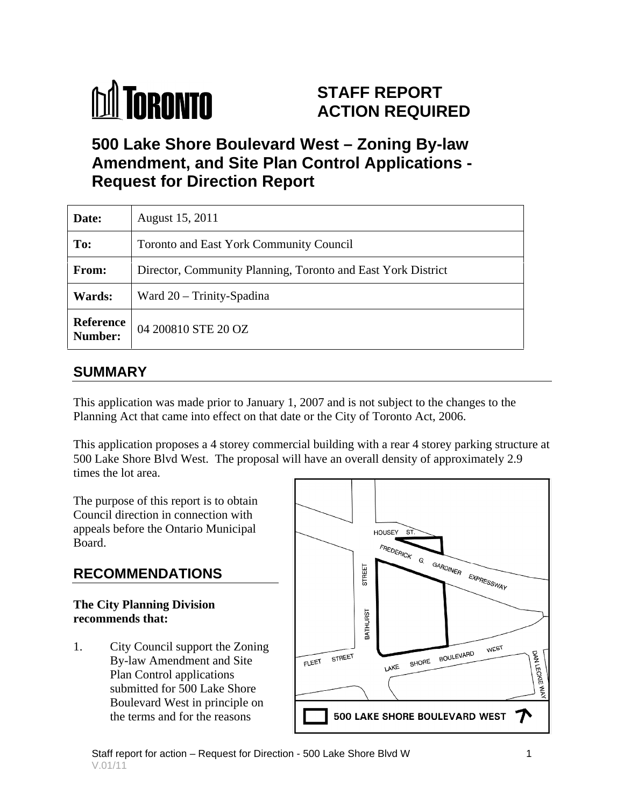

## **STAFF REPORT ACTION REQUIRED**

**500 Lake Shore Boulevard West – Zoning By-law Amendment, and Site Plan Control Applications - Request for Direction Report**

| Date:         | <b>August 15, 2011</b>                                       |
|---------------|--------------------------------------------------------------|
| To:           | Toronto and East York Community Council                      |
| From:         | Director, Community Planning, Toronto and East York District |
| <b>Wards:</b> | Ward 20 - Trinity-Spadina                                    |
|               | <b>Reference</b> 04 200810 STE 20 OZ<br><b>Number:</b>       |

### **SUMMARY**

This application was made prior to January 1, 2007 and is not subject to the changes to the Planning Act that came into effect on that date or the City of Toronto Act, 2006.

This application proposes a 4 storey commercial building with a rear 4 storey parking structure at 500 Lake Shore Blvd West. The proposal will have an overall density of approximately 2.9 times the lot area.

The purpose of this report is to obtain Council direction in connection with appeals before the Ontario Municipal

# **The City Planning Division <br>
recommends that:**

 $By-law$  Amendment and Site  $F^{\text{IEEE}}$  street Plan Control applications submitted for 500 Lake Shore Boulevard West in principle on the terms and for the reasons

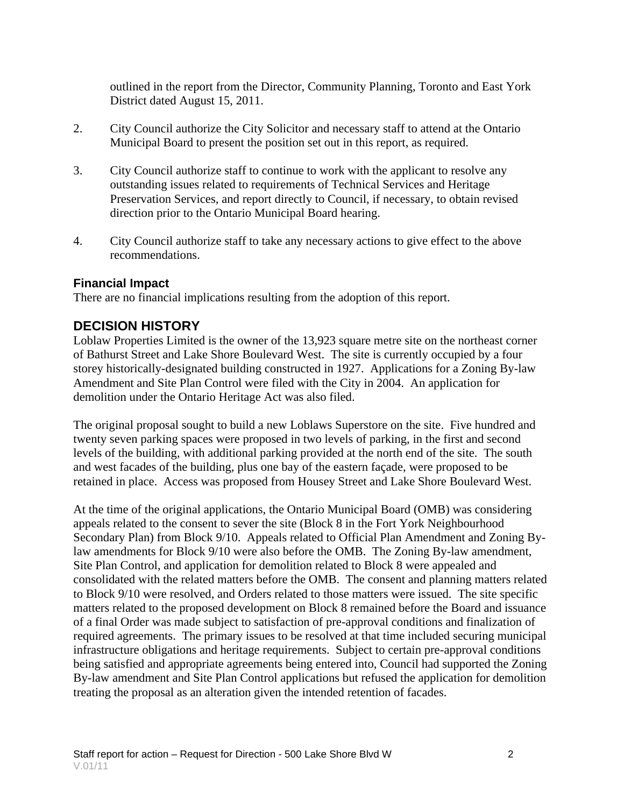outlined in the report from the Director, Community Planning, Toronto and East York District dated August 15, 2011.

- 2. City Council authorize the City Solicitor and necessary staff to attend at the Ontario Municipal Board to present the position set out in this report, as required.
- 3. City Council authorize staff to continue to work with the applicant to resolve any outstanding issues related to requirements of Technical Services and Heritage Preservation Services, and report directly to Council, if necessary, to obtain revised direction prior to the Ontario Municipal Board hearing.
- 4. City Council authorize staff to take any necessary actions to give effect to the above recommendations.

#### **Financial Impact**

There are no financial implications resulting from the adoption of this report.

#### **DECISION HISTORY**

Loblaw Properties Limited is the owner of the 13,923 square metre site on the northeast corner of Bathurst Street and Lake Shore Boulevard West. The site is currently occupied by a four storey historically-designated building constructed in 1927. Applications for a Zoning By-law Amendment and Site Plan Control were filed with the City in 2004. An application for demolition under the Ontario Heritage Act was also filed.

The original proposal sought to build a new Loblaws Superstore on the site. Five hundred and twenty seven parking spaces were proposed in two levels of parking, in the first and second levels of the building, with additional parking provided at the north end of the site. The south and west facades of the building, plus one bay of the eastern façade, were proposed to be retained in place. Access was proposed from Housey Street and Lake Shore Boulevard West.

At the time of the original applications, the Ontario Municipal Board (OMB) was considering appeals related to the consent to sever the site (Block 8 in the Fort York Neighbourhood Secondary Plan) from Block 9/10. Appeals related to Official Plan Amendment and Zoning Bylaw amendments for Block 9/10 were also before the OMB. The Zoning By-law amendment, Site Plan Control, and application for demolition related to Block 8 were appealed and consolidated with the related matters before the OMB. The consent and planning matters related to Block 9/10 were resolved, and Orders related to those matters were issued. The site specific matters related to the proposed development on Block 8 remained before the Board and issuance of a final Order was made subject to satisfaction of pre-approval conditions and finalization of required agreements. The primary issues to be resolved at that time included securing municipal infrastructure obligations and heritage requirements. Subject to certain pre-approval conditions being satisfied and appropriate agreements being entered into, Council had supported the Zoning By-law amendment and Site Plan Control applications but refused the application for demolition treating the proposal as an alteration given the intended retention of facades.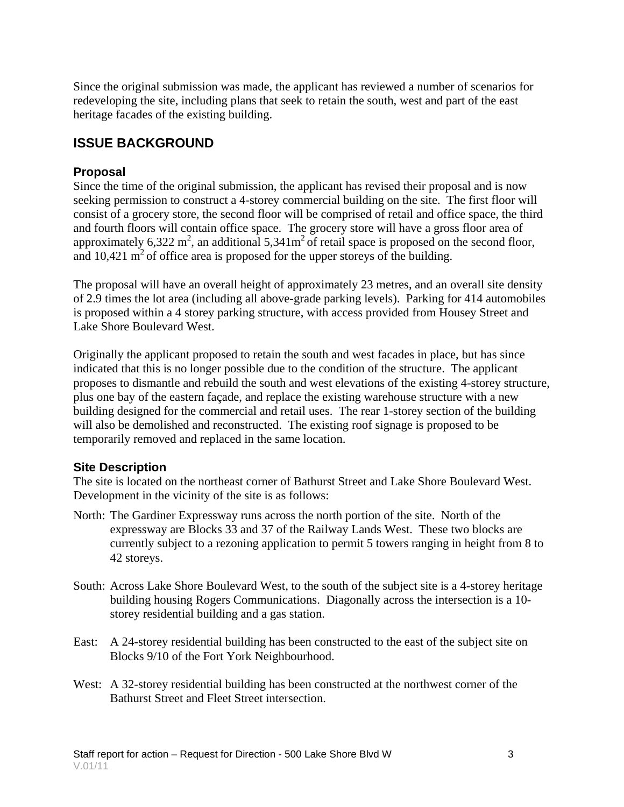Since the original submission was made, the applicant has reviewed a number of scenarios for redeveloping the site, including plans that seek to retain the south, west and part of the east heritage facades of the existing building.

#### **ISSUE BACKGROUND**

#### **Proposal**

Since the time of the original submission, the applicant has revised their proposal and is now seeking permission to construct a 4-storey commercial building on the site. The first floor will consist of a grocery store, the second floor will be comprised of retail and office space, the third and fourth floors will contain office space. The grocery store will have a gross floor area of approximately 6,322 m<sup>2</sup>, an additional 5,341m<sup>2</sup> of retail space is proposed on the second floor, and  $10,421 \text{ m}^2$  of office area is proposed for the upper storeys of the building.

The proposal will have an overall height of approximately 23 metres, and an overall site density of 2.9 times the lot area (including all above-grade parking levels). Parking for 414 automobiles is proposed within a 4 storey parking structure, with access provided from Housey Street and Lake Shore Boulevard West.

Originally the applicant proposed to retain the south and west facades in place, but has since indicated that this is no longer possible due to the condition of the structure. The applicant proposes to dismantle and rebuild the south and west elevations of the existing 4-storey structure, plus one bay of the eastern façade, and replace the existing warehouse structure with a new building designed for the commercial and retail uses. The rear 1-storey section of the building will also be demolished and reconstructed. The existing roof signage is proposed to be temporarily removed and replaced in the same location.

#### **Site Description**

The site is located on the northeast corner of Bathurst Street and Lake Shore Boulevard West. Development in the vicinity of the site is as follows:

- North: The Gardiner Expressway runs across the north portion of the site. North of the expressway are Blocks 33 and 37 of the Railway Lands West. These two blocks are currently subject to a rezoning application to permit 5 towers ranging in height from 8 to 42 storeys.
- South: Across Lake Shore Boulevard West, to the south of the subject site is a 4-storey heritage building housing Rogers Communications. Diagonally across the intersection is a 10 storey residential building and a gas station.
- East: A 24-storey residential building has been constructed to the east of the subject site on Blocks 9/10 of the Fort York Neighbourhood.
- West: A 32-storey residential building has been constructed at the northwest corner of the Bathurst Street and Fleet Street intersection.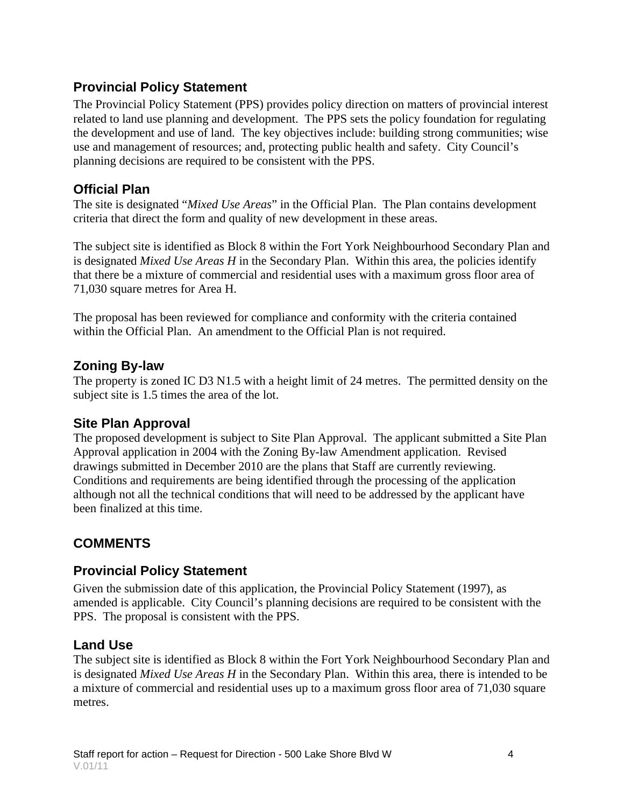#### **Provincial Policy Statement**

The Provincial Policy Statement (PPS) provides policy direction on matters of provincial interest related to land use planning and development. The PPS sets the policy foundation for regulating the development and use of land. The key objectives include: building strong communities; wise use and management of resources; and, protecting public health and safety. City Council's planning decisions are required to be consistent with the PPS.

#### **Official Plan**

The site is designated "*Mixed Use Areas*" in the Official Plan. The Plan contains development criteria that direct the form and quality of new development in these areas.

The subject site is identified as Block 8 within the Fort York Neighbourhood Secondary Plan and is designated *Mixed Use Areas H* in the Secondary Plan. Within this area, the policies identify that there be a mixture of commercial and residential uses with a maximum gross floor area of 71,030 square metres for Area H.

The proposal has been reviewed for compliance and conformity with the criteria contained within the Official Plan. An amendment to the Official Plan is not required.

#### **Zoning By-law**

The property is zoned IC D3 N1.5 with a height limit of 24 metres. The permitted density on the subject site is 1.5 times the area of the lot.

#### **Site Plan Approval**

The proposed development is subject to Site Plan Approval. The applicant submitted a Site Plan Approval application in 2004 with the Zoning By-law Amendment application. Revised drawings submitted in December 2010 are the plans that Staff are currently reviewing. Conditions and requirements are being identified through the processing of the application although not all the technical conditions that will need to be addressed by the applicant have been finalized at this time.

#### **COMMENTS**

#### **Provincial Policy Statement**

Given the submission date of this application, the Provincial Policy Statement (1997), as amended is applicable. City Council's planning decisions are required to be consistent with the PPS. The proposal is consistent with the PPS.

#### **Land Use**

The subject site is identified as Block 8 within the Fort York Neighbourhood Secondary Plan and is designated *Mixed Use Areas H* in the Secondary Plan. Within this area, there is intended to be a mixture of commercial and residential uses up to a maximum gross floor area of 71,030 square metres.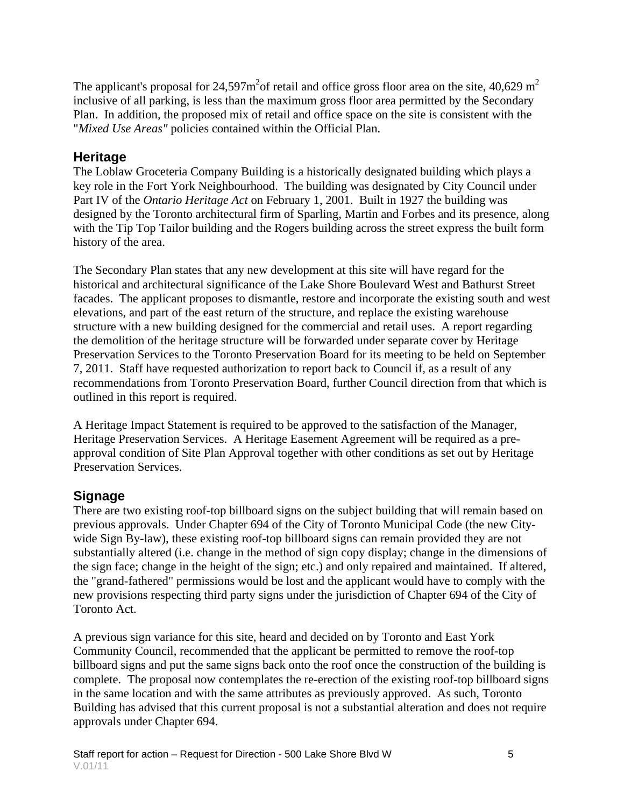The applicant's proposal for 24,597 $m^2$ of retail and office gross floor area on the site, 40,629  $m^2$ inclusive of all parking, is less than the maximum gross floor area permitted by the Secondary Plan. In addition, the proposed mix of retail and office space on the site is consistent with the "*Mixed Use Areas"* policies contained within the Official Plan.

#### **Heritage**

The Loblaw Groceteria Company Building is a historically designated building which plays a key role in the Fort York Neighbourhood. The building was designated by City Council under Part IV of the *Ontario Heritage Act* on February 1, 2001. Built in 1927 the building was designed by the Toronto architectural firm of Sparling, Martin and Forbes and its presence, along with the Tip Top Tailor building and the Rogers building across the street express the built form history of the area.

The Secondary Plan states that any new development at this site will have regard for the historical and architectural significance of the Lake Shore Boulevard West and Bathurst Street facades. The applicant proposes to dismantle, restore and incorporate the existing south and west elevations, and part of the east return of the structure, and replace the existing warehouse structure with a new building designed for the commercial and retail uses. A report regarding the demolition of the heritage structure will be forwarded under separate cover by Heritage Preservation Services to the Toronto Preservation Board for its meeting to be held on September 7, 2011. Staff have requested authorization to report back to Council if, as a result of any recommendations from Toronto Preservation Board, further Council direction from that which is outlined in this report is required.

A Heritage Impact Statement is required to be approved to the satisfaction of the Manager, Heritage Preservation Services. A Heritage Easement Agreement will be required as a pre approval condition of Site Plan Approval together with other conditions as set out by Heritage Preservation Services.

#### **Signage**

There are two existing roof-top billboard signs on the subject building that will remain based on previous approvals. Under Chapter 694 of the City of Toronto Municipal Code (the new City wide Sign By-law), these existing roof-top billboard signs can remain provided they are not substantially altered (i.e. change in the method of sign copy display; change in the dimensions of the sign face; change in the height of the sign; etc.) and only repaired and maintained. If altered, the "grand-fathered" permissions would be lost and the applicant would have to comply with the new provisions respecting third party signs under the jurisdiction of Chapter 694 of the City of Toronto Act.

A previous sign variance for this site, heard and decided on by Toronto and East York Community Council, recommended that the applicant be permitted to remove the roof-top billboard signs and put the same signs back onto the roof once the construction of the building is complete. The proposal now contemplates the re-erection of the existing roof-top billboard signs in the same location and with the same attributes as previously approved. As such, Toronto Building has advised that this current proposal is not a substantial alteration and does not require approvals under Chapter 694.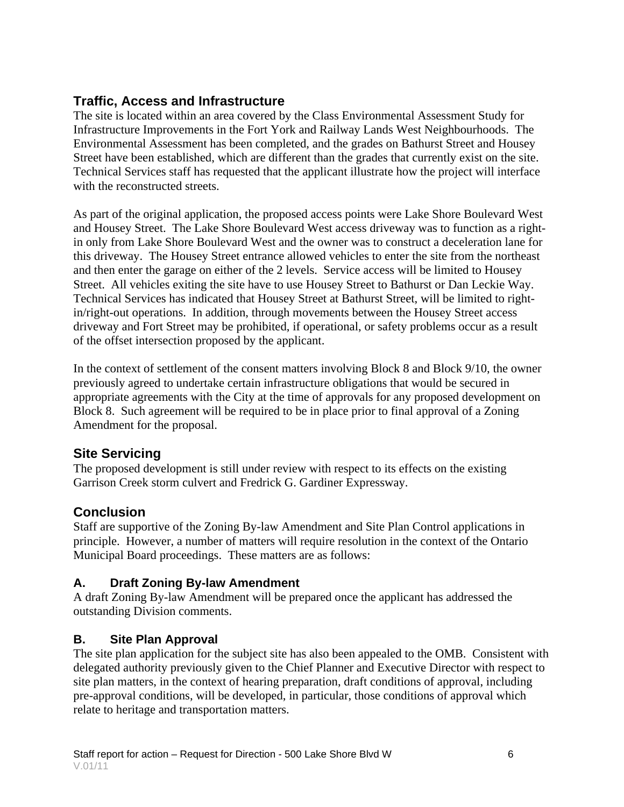#### **Traffic, Access and Infrastructure**

The site is located within an area covered by the Class Environmental Assessment Study for Infrastructure Improvements in the Fort York and Railway Lands West Neighbourhoods. The Environmental Assessment has been completed, and the grades on Bathurst Street and Housey Street have been established, which are different than the grades that currently exist on the site. Technical Services staff has requested that the applicant illustrate how the project will interface with the reconstructed streets.

As part of the original application, the proposed access points were Lake Shore Boulevard West and Housey Street. The Lake Shore Boulevard West access driveway was to function as a rightin only from Lake Shore Boulevard West and the owner was to construct a deceleration lane for this driveway. The Housey Street entrance allowed vehicles to enter the site from the northeast and then enter the garage on either of the 2 levels. Service access will be limited to Housey Street. All vehicles exiting the site have to use Housey Street to Bathurst or Dan Leckie Way. Technical Services has indicated that Housey Street at Bathurst Street, will be limited to rightin/right-out operations. In addition, through movements between the Housey Street access driveway and Fort Street may be prohibited, if operational, or safety problems occur as a result of the offset intersection proposed by the applicant.

In the context of settlement of the consent matters involving Block 8 and Block 9/10, the owner previously agreed to undertake certain infrastructure obligations that would be secured in appropriate agreements with the City at the time of approvals for any proposed development on Block 8. Such agreement will be required to be in place prior to final approval of a Zoning Amendment for the proposal.

#### **Site Servicing**

The proposed development is still under review with respect to its effects on the existing Garrison Creek storm culvert and Fredrick G. Gardiner Expressway.

#### **Conclusion**

Staff are supportive of the Zoning By-law Amendment and Site Plan Control applications in principle. However, a number of matters will require resolution in the context of the Ontario Municipal Board proceedings. These matters are as follows:

#### **A. Draft Zoning By-law Amendment**

A draft Zoning By-law Amendment will be prepared once the applicant has addressed the outstanding Division comments.

#### **B. Site Plan Approval**

The site plan application for the subject site has also been appealed to the OMB. Consistent with delegated authority previously given to the Chief Planner and Executive Director with respect to site plan matters, in the context of hearing preparation, draft conditions of approval, including pre-approval conditions, will be developed, in particular, those conditions of approval which relate to heritage and transportation matters.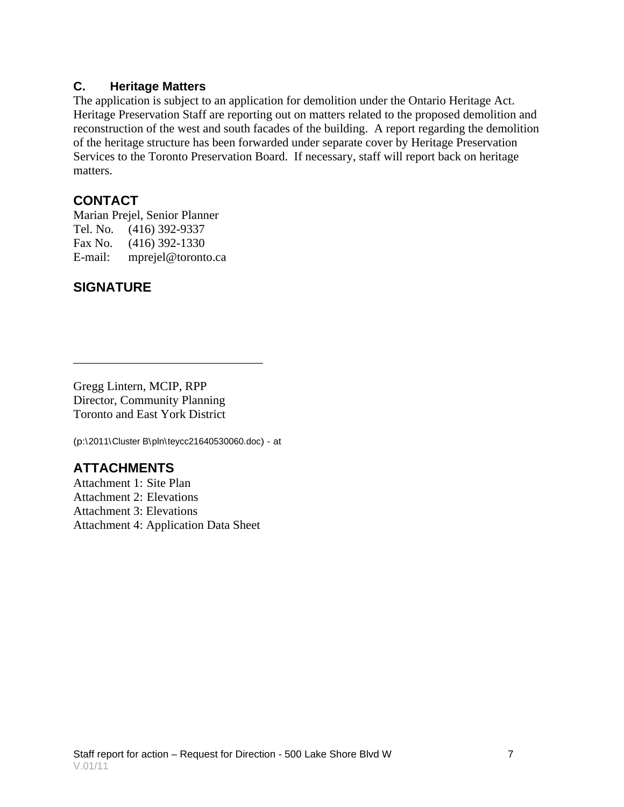#### **C. Heritage Matters**

The application is subject to an application for demolition under the Ontario Heritage Act. Heritage Preservation Staff are reporting out on matters related to the proposed demolition and reconstruction of the west and south facades of the building. A report regarding the demolition of the heritage structure has been forwarded under separate cover by Heritage Preservation Services to the Toronto Preservation Board. If necessary, staff will report back on heritage matters.

#### **CONTACT**

Marian Prejel, Senior Planner Tel. No. (416) 392-9337 Fax No. (416) 392-1330 E-mail: mprejel@toronto.ca

#### **SIGNATURE**

Gregg Lintern, MCIP, RPP Director, Community Planning Toronto and East York District

(p:\2011\Cluster B\pln\teycc21640530060.doc) - at

#### **ATTACHMENTS**

Attachment 1: Site Plan Attachment 2: Elevations Attachment 3: Elevations Attachment 4: Application Data Sheet

 $\overline{\phantom{a}}$  , we can assume that the contract of the contract of the contract of the contract of the contract of the contract of the contract of the contract of the contract of the contract of the contract of the contract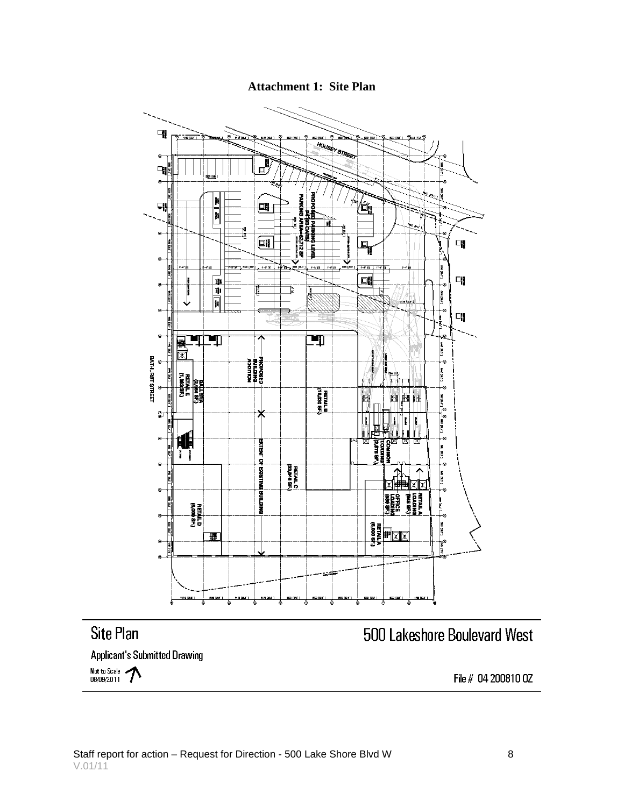![](_page_7_Figure_0.jpeg)

![](_page_7_Figure_1.jpeg)

File # 04 200810 0Z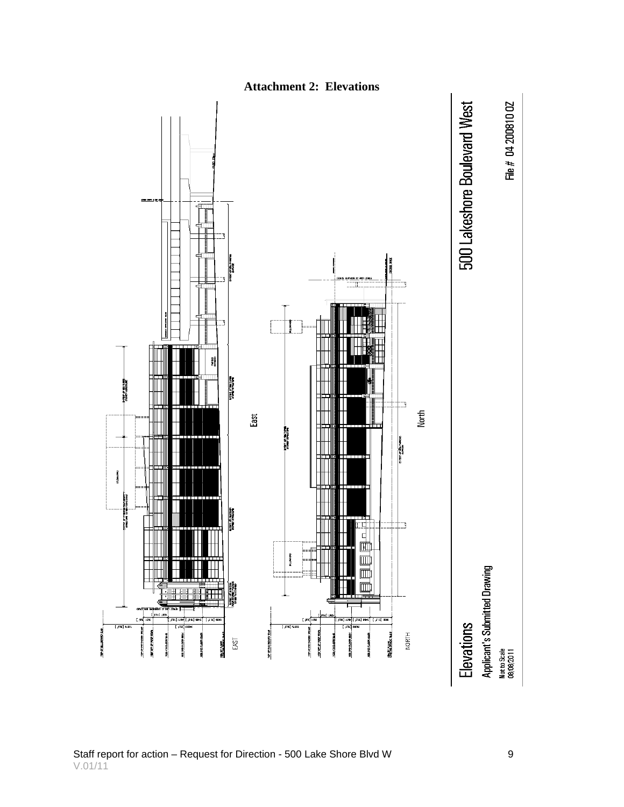![](_page_8_Figure_0.jpeg)

**Attachment 2: Elevations**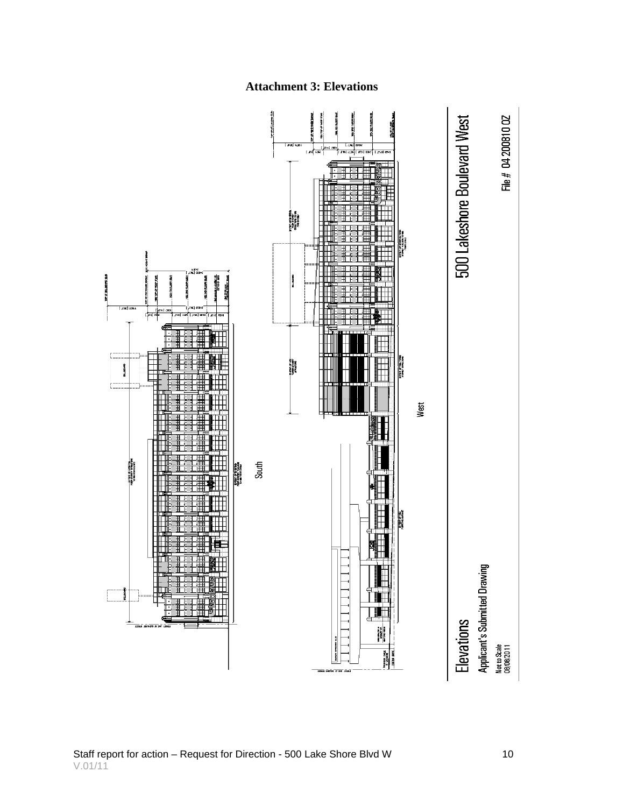![](_page_9_Figure_0.jpeg)

#### **Attachment 3: Elevations**